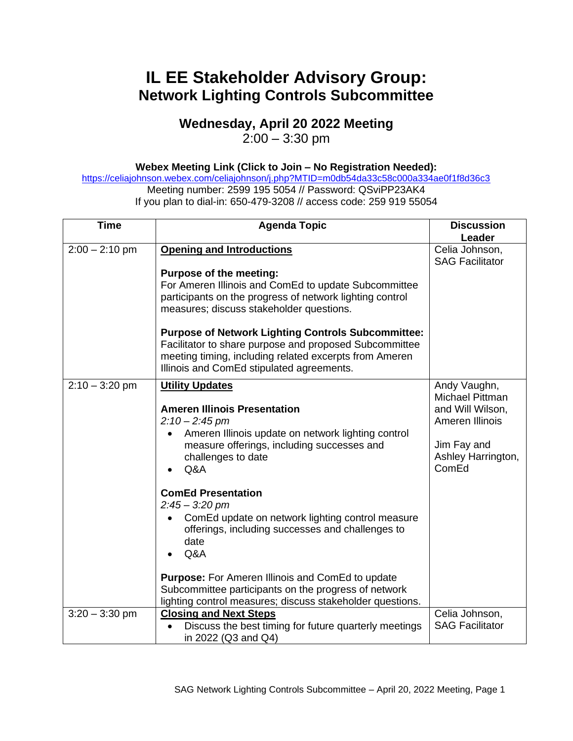## **IL EE Stakeholder Advisory Group: Network Lighting Controls Subcommittee**

## **Wednesday, April 20 2022 Meeting**

 $2:00 - 3:30$  pm

## **Webex Meeting Link (Click to Join – No Registration Needed):**

<https://celiajohnson.webex.com/celiajohnson/j.php?MTID=m0db54da33c58c000a334ae0f1f8d36c3> Meeting number: 2599 195 5054 // Password: QSviPP23AK4 If you plan to dial-in: 650-479-3208 // access code: 259 919 55054

| <b>Time</b>      | <b>Agenda Topic</b>                                                                                                                                                                                                                                                                                                                                               | <b>Discussion</b>                                                                                                    |
|------------------|-------------------------------------------------------------------------------------------------------------------------------------------------------------------------------------------------------------------------------------------------------------------------------------------------------------------------------------------------------------------|----------------------------------------------------------------------------------------------------------------------|
|                  |                                                                                                                                                                                                                                                                                                                                                                   | Leader                                                                                                               |
| $2:00 - 2:10$ pm | <b>Opening and Introductions</b>                                                                                                                                                                                                                                                                                                                                  | Celia Johnson,<br><b>SAG Facilitator</b>                                                                             |
|                  | <b>Purpose of the meeting:</b><br>For Ameren Illinois and ComEd to update Subcommittee<br>participants on the progress of network lighting control<br>measures; discuss stakeholder questions.<br><b>Purpose of Network Lighting Controls Subcommittee:</b>                                                                                                       |                                                                                                                      |
|                  | Facilitator to share purpose and proposed Subcommittee<br>meeting timing, including related excerpts from Ameren<br>Illinois and ComEd stipulated agreements.                                                                                                                                                                                                     |                                                                                                                      |
| $2:10 - 3:20$ pm | <b>Utility Updates</b><br><b>Ameren Illinois Presentation</b><br>$2:10 - 2:45$ pm<br>Ameren Illinois update on network lighting control<br>measure offerings, including successes and<br>challenges to date<br>Q&A                                                                                                                                                | Andy Vaughn,<br>Michael Pittman<br>and Will Wilson,<br>Ameren Illinois<br>Jim Fay and<br>Ashley Harrington,<br>ComEd |
|                  | <b>ComEd Presentation</b><br>$2:45 - 3:20$ pm<br>ComEd update on network lighting control measure<br>$\bullet$<br>offerings, including successes and challenges to<br>date<br>Q&A<br><b>Purpose:</b> For Ameren Illinois and ComEd to update<br>Subcommittee participants on the progress of network<br>lighting control measures; discuss stakeholder questions. |                                                                                                                      |
| $3:20 - 3:30$ pm | <b>Closing and Next Steps</b><br>Discuss the best timing for future quarterly meetings<br>in 2022 (Q3 and Q4)                                                                                                                                                                                                                                                     | Celia Johnson,<br><b>SAG Facilitator</b>                                                                             |